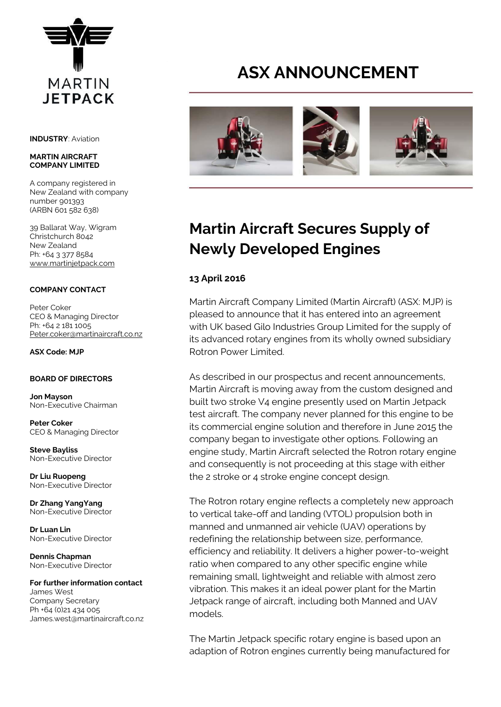

**INDUSTRY**: Aviation

#### **MARTIN AIRCRAFT COMPANY LIMITED**

A company registered in New Zealand with company number 901393 (ARBN 601 582 638)

39 Ballarat Way, Wigram Christchurch 8042 New Zealand Ph: +64 3 377 8584 [www.martinjetpack.com](http://www.martinjetpack.com/)

# **COMPANY CONTACT**

Peter Coker CEO & Managing Director Ph: +64 2 181 1005 [Peter.coker@martinaircraft.co.nz](mailto:Peter.coker@martinaircraft.co.nz)

**ASX Code: MJP**

## **BOARD OF DIRECTORS**

**Jon Mayson**  Non-Executive Chairman

**Peter Coker**  CEO & Managing Director

**Steve Bayliss** Non-Executive Director

**Dr Liu Ruopeng**  Non-Executive Director

**Dr Zhang YangYang**  Non-Executive Director

**Dr Luan Lin** Non-Executive Director

**Dennis Chapman** Non-Executive Director

#### **For further information contact** James West Company Secretary

Ph +64 (0)21 434 005 James.west@martinaircraft.co.nz

# **ASX ANNOUNCEMENT**



# **Martin Aircraft Secures Supply of Newly Developed Engines**

# **13 April 2016**

Martin Aircraft Company Limited (Martin Aircraft) (ASX: MJP) is pleased to announce that it has entered into an agreement with UK based Gilo Industries Group Limited for the supply of its advanced rotary engines from its wholly owned subsidiary Rotron Power Limited.

As described in our prospectus and recent announcements, Martin Aircraft is moving away from the custom designed and built two stroke V4 engine presently used on Martin Jetpack test aircraft. The company never planned for this engine to be its commercial engine solution and therefore in June 2015 the company began to investigate other options. Following an engine study, Martin Aircraft selected the Rotron rotary engine and consequently is not proceeding at this stage with either the 2 stroke or 4 stroke engine concept design.

The Rotron rotary engine reflects a completely new approach to vertical take-off and landing (VTOL) propulsion both in manned and unmanned air vehicle (UAV) operations by redefining the relationship between size, performance, efficiency and reliability. It delivers a higher power-to-weight ratio when compared to any other specific engine while remaining small, lightweight and reliable with almost zero vibration. This makes it an ideal power plant for the Martin Jetpack range of aircraft, including both Manned and UAV models.

The Martin Jetpack specific rotary engine is based upon an adaption of Rotron engines currently being manufactured for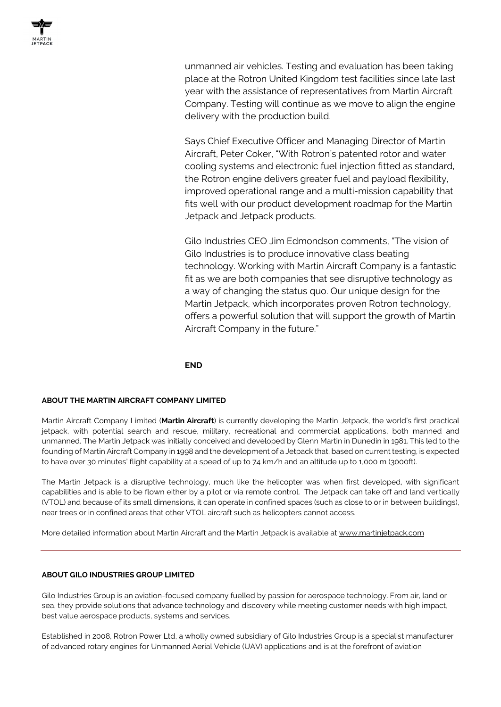unmanned air vehicles. Testing and evaluation has been taking place at the Rotron United Kingdom test facilities since late last year with the assistance of representatives from Martin Aircraft Company. Testing will continue as we move to align the engine delivery with the production build.

Says Chief Executive Officer and Managing Director of Martin Aircraft, Peter Coker, "With Rotron's patented rotor and water cooling systems and electronic fuel injection fitted as standard, the Rotron engine delivers greater fuel and payload flexibility, improved operational range and a multi-mission capability that fits well with our product development roadmap for the Martin Jetpack and Jetpack products.

Gilo Industries CEO Jim Edmondson comments, "The vision of Gilo Industries is to produce innovative class beating technology. Working with Martin Aircraft Company is a fantastic fit as we are both companies that see disruptive technology as a way of changing the status quo. Our unique design for the Martin Jetpack, which incorporates proven Rotron technology, offers a powerful solution that will support the growth of Martin Aircraft Company in the future."

# **END**

## **ABOUT THE MARTIN AIRCRAFT COMPANY LIMITED**

Martin Aircraft Company Limited (**Martin Aircraft**) is currently developing the Martin Jetpack, the world's first practical jetpack, with potential search and rescue, military, recreational and commercial applications, both manned and unmanned. The Martin Jetpack was initially conceived and developed by Glenn Martin in Dunedin in 1981. This led to the founding of Martin Aircraft Company in 1998 and the development of a Jetpack that, based on current testing, is expected to have over 30 minutes' flight capability at a speed of up to 74 km/h and an altitude up to 1,000 m (3000ft).

The Martin Jetpack is a disruptive technology, much like the helicopter was when first developed, with significant capabilities and is able to be flown either by a pilot or via remote control. The Jetpack can take off and land vertically (VTOL) and because of its small dimensions, it can operate in confined spaces (such as close to or in between buildings), near trees or in confined areas that other VTOL aircraft such as helicopters cannot access.

More detailed information about Martin Aircraft and the Martin Jetpack is available at [www.martinjetpack.com](http://www.martinjetpack.com/)

## **ABOUT GILO INDUSTRIES GROUP LIMITED**

Gilo Industries Group is an aviation-focused company fuelled by passion for aerospace technology. From air, land or sea, they provide solutions that advance technology and discovery while meeting customer needs with high impact, best value aerospace products, systems and services.

Established in 2008, Rotron Power Ltd, a wholly owned subsidiary of Gilo Industries Group is a specialist manufacturer of advanced rotary engines for Unmanned Aerial Vehicle (UAV) applications and is at the forefront of aviation